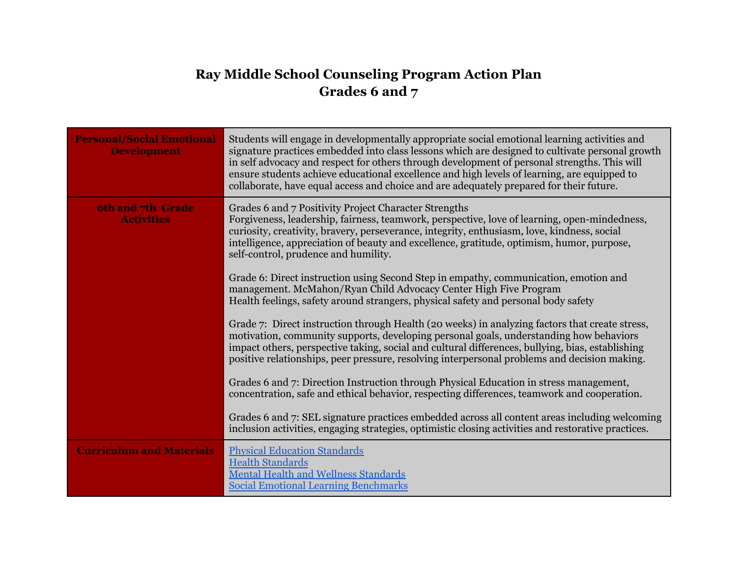## **Ray Middle School Counseling Program Action Plan Grades 6 and 7**

| <b>Personal/Social Emotional</b><br><b>Development</b> | Students will engage in developmentally appropriate social emotional learning activities and<br>signature practices embedded into class lessons which are designed to cultivate personal growth<br>in self advocacy and respect for others through development of personal strengths. This will<br>ensure students achieve educational excellence and high levels of learning, are equipped to<br>collaborate, have equal access and choice and are adequately prepared for their future. |
|--------------------------------------------------------|-------------------------------------------------------------------------------------------------------------------------------------------------------------------------------------------------------------------------------------------------------------------------------------------------------------------------------------------------------------------------------------------------------------------------------------------------------------------------------------------|
| 6th and 7th Grade<br><b>Activities</b>                 | Grades 6 and 7 Positivity Project Character Strengths<br>Forgiveness, leadership, fairness, teamwork, perspective, love of learning, open-mindedness,<br>curiosity, creativity, bravery, perseverance, integrity, enthusiasm, love, kindness, social<br>intelligence, appreciation of beauty and excellence, gratitude, optimism, humor, purpose,<br>self-control, prudence and humility.                                                                                                 |
|                                                        | Grade 6: Direct instruction using Second Step in empathy, communication, emotion and<br>management. McMahon/Ryan Child Advocacy Center High Five Program<br>Health feelings, safety around strangers, physical safety and personal body safety                                                                                                                                                                                                                                            |
|                                                        | Grade 7: Direct instruction through Health (20 weeks) in analyzing factors that create stress,<br>motivation, community supports, developing personal goals, understanding how behaviors<br>impact others, perspective taking, social and cultural differences, bullying, bias, establishing<br>positive relationships, peer pressure, resolving interpersonal problems and decision making.                                                                                              |
|                                                        | Grades 6 and 7: Direction Instruction through Physical Education in stress management,<br>concentration, safe and ethical behavior, respecting differences, teamwork and cooperation.                                                                                                                                                                                                                                                                                                     |
|                                                        | Grades 6 and 7: SEL signature practices embedded across all content areas including welcoming<br>inclusion activities, engaging strategies, optimistic closing activities and restorative practices.                                                                                                                                                                                                                                                                                      |
| <b>Curriculum and Materials</b>                        | <b>Physical Education Standards</b><br><b>Health Standards</b><br><b>Mental Health and Wellness Standards</b><br><b>Social Emotional Learning Benchmarks</b>                                                                                                                                                                                                                                                                                                                              |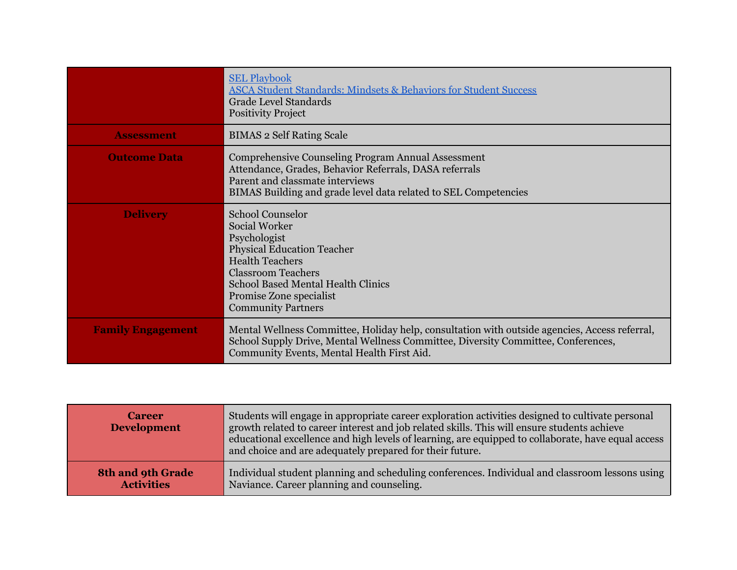|                          | <b>SEL Playbook</b><br><b>ASCA Student Standards: Mindsets &amp; Behaviors for Student Success</b><br><b>Grade Level Standards</b><br><b>Positivity Project</b>                                                                                                  |
|--------------------------|------------------------------------------------------------------------------------------------------------------------------------------------------------------------------------------------------------------------------------------------------------------|
| <b>Assessment</b>        | <b>BIMAS 2 Self Rating Scale</b>                                                                                                                                                                                                                                 |
| <b>Outcome Data</b>      | Comprehensive Counseling Program Annual Assessment<br>Attendance, Grades, Behavior Referrals, DASA referrals<br>Parent and classmate interviews<br>BIMAS Building and grade level data related to SEL Competencies                                               |
| <b>Delivery</b>          | <b>School Counselor</b><br><b>Social Worker</b><br>Psychologist<br><b>Physical Education Teacher</b><br><b>Health Teachers</b><br><b>Classroom Teachers</b><br><b>School Based Mental Health Clinics</b><br>Promise Zone specialist<br><b>Community Partners</b> |
| <b>Family Engagement</b> | Mental Wellness Committee, Holiday help, consultation with outside agencies, Access referral,<br>School Supply Drive, Mental Wellness Committee, Diversity Committee, Conferences,<br>Community Events, Mental Health First Aid.                                 |

| <b>Career</b><br><b>Development</b> | Students will engage in appropriate career exploration activities designed to cultivate personal<br>growth related to career interest and job related skills. This will ensure students achieve<br>educational excellence and high levels of learning, are equipped to collaborate, have equal access<br>and choice and are adequately prepared for their future. |
|-------------------------------------|-------------------------------------------------------------------------------------------------------------------------------------------------------------------------------------------------------------------------------------------------------------------------------------------------------------------------------------------------------------------|
| <b>8th and 9th Grade</b>            | Individual student planning and scheduling conferences. Individual and classroom lessons using                                                                                                                                                                                                                                                                    |
| <b>Activities</b>                   | Naviance. Career planning and counseling.                                                                                                                                                                                                                                                                                                                         |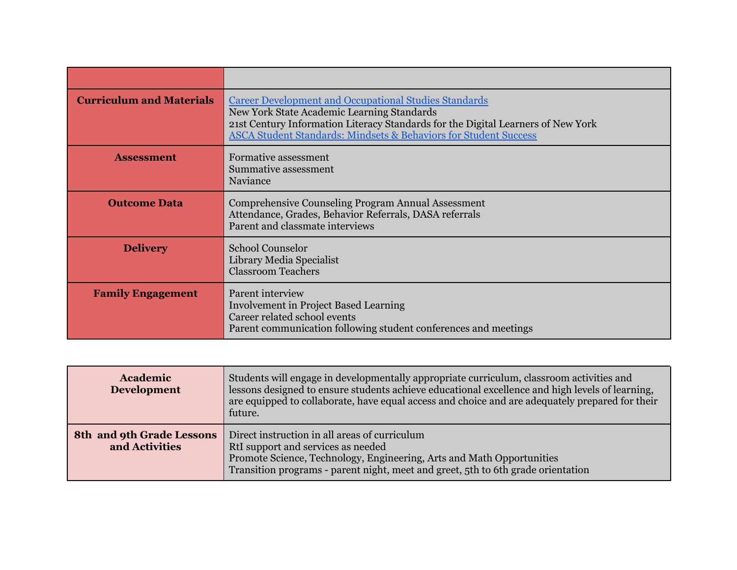| <b>Curriculum and Materials</b> | <b>Career Development and Occupational Studies Standards</b><br>New York State Academic Learning Standards<br>21st Century Information Literacy Standards for the Digital Learners of New York<br><b>ASCA Student Standards: Mindsets &amp; Behaviors for Student Success</b> |
|---------------------------------|-------------------------------------------------------------------------------------------------------------------------------------------------------------------------------------------------------------------------------------------------------------------------------|
| <b>Assessment</b>               | Formative assessment<br><b>Summative assessment</b><br>Naviance                                                                                                                                                                                                               |
| <b>Outcome Data</b>             | Comprehensive Counseling Program Annual Assessment<br>Attendance, Grades, Behavior Referrals, DASA referrals<br>Parent and classmate interviews                                                                                                                               |
| <b>Delivery</b>                 | <b>School Counselor</b><br>Library Media Specialist<br><b>Classroom Teachers</b>                                                                                                                                                                                              |
| <b>Family Engagement</b>        | Parent interview<br><b>Involvement in Project Based Learning</b><br>Career related school events<br>Parent communication following student conferences and meetings                                                                                                           |

| Academic<br><b>Development</b>              | Students will engage in developmentally appropriate curriculum, classroom activities and<br>lessons designed to ensure students achieve educational excellence and high levels of learning,<br>are equipped to collaborate, have equal access and choice and are adequately prepared for their<br>future. |
|---------------------------------------------|-----------------------------------------------------------------------------------------------------------------------------------------------------------------------------------------------------------------------------------------------------------------------------------------------------------|
| 8th and 9th Grade Lessons<br>and Activities | Direct instruction in all areas of curriculum<br>RtI support and services as needed<br>Promote Science, Technology, Engineering, Arts and Math Opportunities<br>Transition programs - parent night, meet and greet, 5th to 6th grade orientation                                                          |